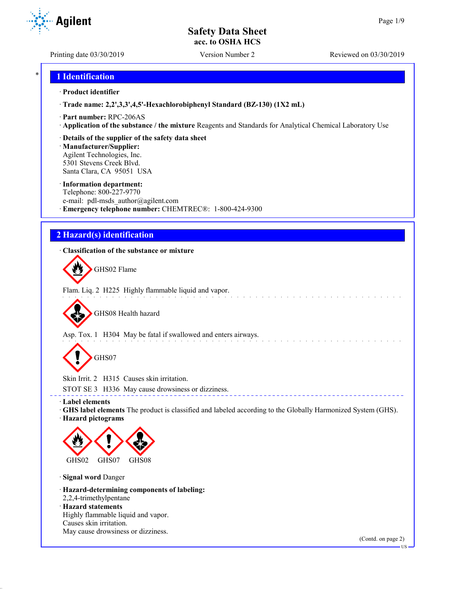Printing date 03/30/2019 Version Number 2 Reviewed on 03/30/2019

**Agilent** 

# \* **1 Identification**

#### · **Product identifier**

· **Trade name: 2,2',3,3',4,5'-Hexachlorobiphenyl Standard (BZ-130) (1X2 mL)**

- · **Part number:** RPC-206AS
- · **Application of the substance / the mixture** Reagents and Standards for Analytical Chemical Laboratory Use
- · **Details of the supplier of the safety data sheet**

· **Manufacturer/Supplier:** Agilent Technologies, Inc. 5301 Stevens Creek Blvd. Santa Clara, CA 95051 USA

#### · **Information department:**

Telephone: 800-227-9770 e-mail: pdl-msds author@agilent.com · **Emergency telephone number:** CHEMTREC®: 1-800-424-9300

# **2 Hazard(s) identification**

## · **Classification of the substance or mixture**

GHS02 Flame

Flam. Liq. 2 H225 Highly flammable liquid and vapor.

GHS08 Health hazard

Asp. Tox. 1 H304 May be fatal if swallowed and enters airways.

GHS07

Skin Irrit. 2 H315 Causes skin irritation.

STOT SE 3 H336 May cause drowsiness or dizziness.

· **Label elements**

· **GHS label elements** The product is classified and labeled according to the Globally Harmonized System (GHS). · **Hazard pictograms**

\_\_\_\_\_\_\_\_\_\_\_\_\_\_\_\_\_\_\_\_\_\_\_\_\_\_\_\_\_\_\_



· **Signal word** Danger

· **Hazard-determining components of labeling:** 2,2,4-trimethylpentane · **Hazard statements**

Highly flammable liquid and vapor. Causes skin irritation. May cause drowsiness or dizziness.

(Contd. on page 2)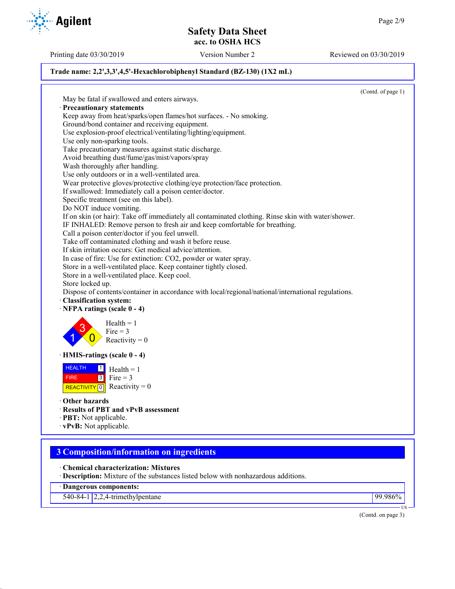Printing date 03/30/2019 Version Number 2 Reviewed on 03/30/2019

## **Trade name: 2,2',3,3',4,5'-Hexachlorobiphenyl Standard (BZ-130) (1X2 mL)**

(Contd. of page 1) May be fatal if swallowed and enters airways. · **Precautionary statements** Keep away from heat/sparks/open flames/hot surfaces. - No smoking. Ground/bond container and receiving equipment. Use explosion-proof electrical/ventilating/lighting/equipment. Use only non-sparking tools. Take precautionary measures against static discharge. Avoid breathing dust/fume/gas/mist/vapors/spray Wash thoroughly after handling. Use only outdoors or in a well-ventilated area. Wear protective gloves/protective clothing/eye protection/face protection. If swallowed: Immediately call a poison center/doctor. Specific treatment (see on this label). Do NOT induce vomiting. If on skin (or hair): Take off immediately all contaminated clothing. Rinse skin with water/shower. IF INHALED: Remove person to fresh air and keep comfortable for breathing. Call a poison center/doctor if you feel unwell. Take off contaminated clothing and wash it before reuse. If skin irritation occurs: Get medical advice/attention. In case of fire: Use for extinction: CO2, powder or water spray. Store in a well-ventilated place. Keep container tightly closed. Store in a well-ventilated place. Keep cool. Store locked up. Dispose of contents/container in accordance with local/regional/national/international regulations. · **Classification system:** · **NFPA ratings (scale 0 - 4)** 1 3  $\overline{0}$  $Health = 1$ Fire  $= 3$ Reactivity  $= 0$ · **HMIS-ratings (scale 0 - 4)** HEALTH FIRE REACTIVITY  $\boxed{0}$  Reactivity = 0  $\frac{1}{\Box}$  Health = 1  $3$  Fire = 3 · **Other hazards** · **Results of PBT and vPvB assessment** · **PBT:** Not applicable. · **vPvB:** Not applicable. **3 Composition/information on ingredients** · **Chemical characterization: Mixtures** · **Description:** Mixture of the substances listed below with nonhazardous additions.

· **Dangerous components:**

540-84-1 2,2,4-trimethylpentane 99.986%

(Contd. on page 3)

US

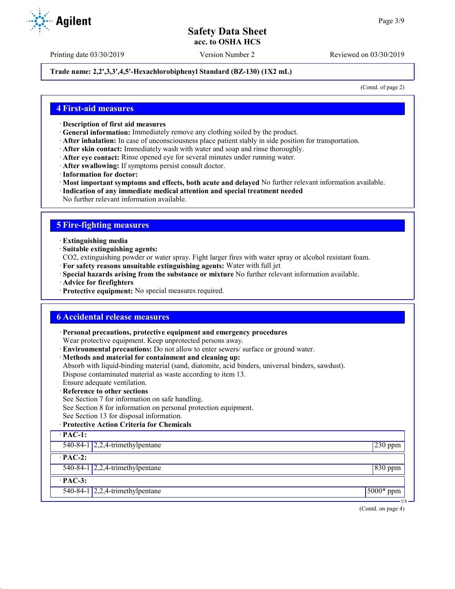Printing date 03/30/2019 Version Number 2 Reviewed on 03/30/2019

#### **Trade name: 2,2',3,3',4,5'-Hexachlorobiphenyl Standard (BZ-130) (1X2 mL)**

(Contd. of page 2)

### **4 First-aid measures**

- · **Description of first aid measures**
- · **General information:** Immediately remove any clothing soiled by the product.
- · **After inhalation:** In case of unconsciousness place patient stably in side position for transportation.
- · **After skin contact:** Immediately wash with water and soap and rinse thoroughly.
- · **After eye contact:** Rinse opened eye for several minutes under running water.
- · **After swallowing:** If symptoms persist consult doctor.
- · **Information for doctor:**
- · **Most important symptoms and effects, both acute and delayed** No further relevant information available.
- · **Indication of any immediate medical attention and special treatment needed**
- No further relevant information available.

## **5 Fire-fighting measures**

- · **Extinguishing media**
- · **Suitable extinguishing agents:**
- CO2, extinguishing powder or water spray. Fight larger fires with water spray or alcohol resistant foam.
- · **For safety reasons unsuitable extinguishing agents:** Water with full jet
- · **Special hazards arising from the substance or mixture** No further relevant information available.
- · **Advice for firefighters**
- · **Protective equipment:** No special measures required.

### **6 Accidental release measures**

· **Personal precautions, protective equipment and emergency procedures**

Wear protective equipment. Keep unprotected persons away.

- · **Environmental precautions:** Do not allow to enter sewers/ surface or ground water.
- · **Methods and material for containment and cleaning up:**
- Absorb with liquid-binding material (sand, diatomite, acid binders, universal binders, sawdust).

Dispose contaminated material as waste according to item 13.

- Ensure adequate ventilation.
- **Reference to other sections**
- See Section 7 for information on safe handling.
- See Section 8 for information on personal protection equipment.
- See Section 13 for disposal information.

#### · **Protective Action Criteria for Chemicals**

| $\cdot$ PAC-1: |                                                  |              |
|----------------|--------------------------------------------------|--------------|
|                | 540-84-1 $\sqrt{2,2,4}$ -trimethylpentane        | $230$ ppm    |
| $\cdot$ PAC-2: |                                                  |              |
|                | 540-84-1 $\sqrt{2,2,4}$ -trimethylpentane        | $830$ ppm    |
| $\cdot$ PAC-3: |                                                  |              |
|                | 540-84-1 $\left  2,2,4\right $ -trimethylpentane | $15000*$ ppm |
|                |                                                  | US –         |

(Contd. on page 4)

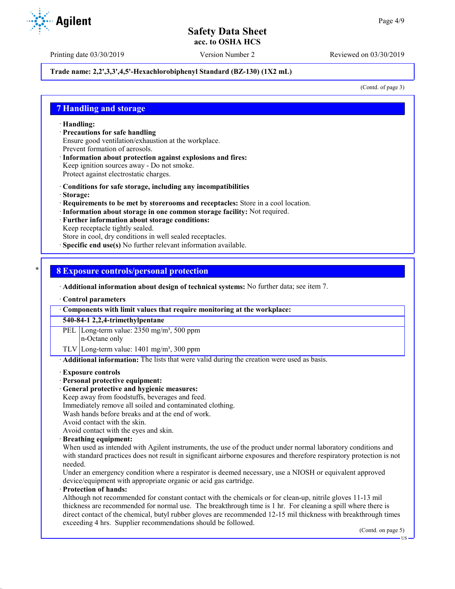Printing date 03/30/2019 Version Number 2 Reviewed on 03/30/2019

### **Trade name: 2,2',3,3',4,5'-Hexachlorobiphenyl Standard (BZ-130) (1X2 mL)**

(Contd. of page 3)

## **7 Handling and storage**

· **Handling:**

- · **Precautions for safe handling** Ensure good ventilation/exhaustion at the workplace. Prevent formation of aerosols.
- · **Information about protection against explosions and fires:** Keep ignition sources away - Do not smoke. Protect against electrostatic charges.
- · **Conditions for safe storage, including any incompatibilities**
- · **Storage:**
- · **Requirements to be met by storerooms and receptacles:** Store in a cool location.
- · **Information about storage in one common storage facility:** Not required.
- · **Further information about storage conditions:**
- Keep receptacle tightly sealed.

Store in cool, dry conditions in well sealed receptacles.

**Specific end use(s)** No further relevant information available.

### \* **8 Exposure controls/personal protection**

· **Additional information about design of technical systems:** No further data; see item 7.

· **Control parameters**

· **Components with limit values that require monitoring at the workplace:**

**540-84-1 2,2,4-trimethylpentane**

PEL Long-term value: 2350 mg/m<sup>3</sup>, 500 ppm n-Octane only

TLV Long-term value:  $1401 \text{ mg/m}^3$ , 300 ppm

· **Additional information:** The lists that were valid during the creation were used as basis.

#### · **Exposure controls**

#### · **Personal protective equipment:**

· **General protective and hygienic measures:**

Keep away from foodstuffs, beverages and feed.

- Immediately remove all soiled and contaminated clothing.
- Wash hands before breaks and at the end of work.
- Avoid contact with the skin.

Avoid contact with the eyes and skin.

#### · **Breathing equipment:**

When used as intended with Agilent instruments, the use of the product under normal laboratory conditions and with standard practices does not result in significant airborne exposures and therefore respiratory protection is not needed.

Under an emergency condition where a respirator is deemed necessary, use a NIOSH or equivalent approved device/equipment with appropriate organic or acid gas cartridge.

#### · **Protection of hands:**

Although not recommended for constant contact with the chemicals or for clean-up, nitrile gloves 11-13 mil thickness are recommended for normal use. The breakthrough time is 1 hr. For cleaning a spill where there is direct contact of the chemical, butyl rubber gloves are recommended 12-15 mil thickness with breakthrough times exceeding 4 hrs. Supplier recommendations should be followed.

(Contd. on page 5)

US

**Agilent**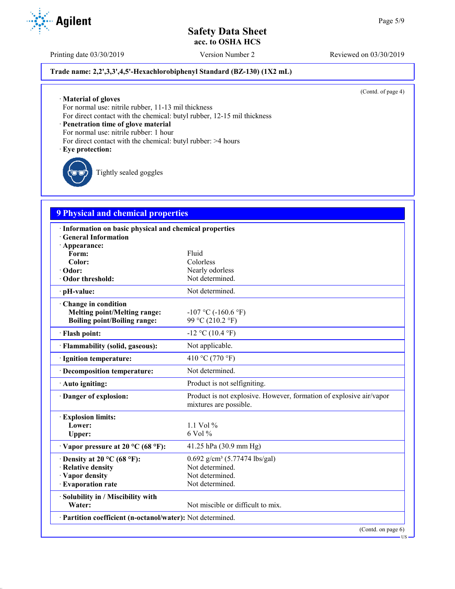Printing date 03/30/2019 Version Number 2 Reviewed on 03/30/2019

## **Trade name: 2,2',3,3',4,5'-Hexachlorobiphenyl Standard (BZ-130) (1X2 mL)**

(Contd. of page 4)

· **Material of gloves**

For normal use: nitrile rubber, 11-13 mil thickness

For direct contact with the chemical: butyl rubber, 12-15 mil thickness

· **Penetration time of glove material**

For normal use: nitrile rubber: 1 hour

- For direct contact with the chemical: butyl rubber: >4 hours
- · **Eye protection:**

Tightly sealed goggles

# **9 Physical and chemical properties**

| · Information on basic physical and chemical properties                                             |                                                                                               |
|-----------------------------------------------------------------------------------------------------|-----------------------------------------------------------------------------------------------|
| <b>General Information</b>                                                                          |                                                                                               |
| · Appearance:<br>Form:                                                                              | Fluid                                                                                         |
| Color:                                                                                              | Colorless                                                                                     |
| · Odor:                                                                                             | Nearly odorless                                                                               |
| Odor threshold:                                                                                     | Not determined.                                                                               |
| · pH-value:                                                                                         | Not determined.                                                                               |
| · Change in condition<br><b>Melting point/Melting range:</b><br><b>Boiling point/Boiling range:</b> | $-107$ °C ( $-160.6$ °F)<br>99 °C (210.2 °F)                                                  |
| · Flash point:                                                                                      | $-12$ °C (10.4 °F)                                                                            |
| · Flammability (solid, gaseous):                                                                    | Not applicable.                                                                               |
| · Ignition temperature:                                                                             | 410 °C (770 °F)                                                                               |
| · Decomposition temperature:                                                                        | Not determined.                                                                               |
| · Auto igniting:                                                                                    | Product is not selfigniting.                                                                  |
| · Danger of explosion:                                                                              | Product is not explosive. However, formation of explosive air/vapor<br>mixtures are possible. |
| <b>Explosion limits:</b>                                                                            |                                                                                               |
| Lower:                                                                                              | 1.1 Vol $%$                                                                                   |
| Upper:                                                                                              | 6 Vol %                                                                                       |
| $\cdot$ Vapor pressure at 20 °C (68 °F):                                                            | 41.25 hPa (30.9 mm Hg)                                                                        |
| $\cdot$ Density at 20 °C (68 °F):                                                                   | $0.692$ g/cm <sup>3</sup> (5.77474 lbs/gal)                                                   |
| · Relative density                                                                                  | Not determined.                                                                               |
| · Vapor density                                                                                     | Not determined.                                                                               |
| · Evaporation rate                                                                                  | Not determined.                                                                               |
| · Solubility in / Miscibility with                                                                  |                                                                                               |
| Water:                                                                                              | Not miscible or difficult to mix.                                                             |
| · Partition coefficient (n-octanol/water): Not determined.                                          |                                                                                               |
|                                                                                                     | (Contd. on page 6)                                                                            |

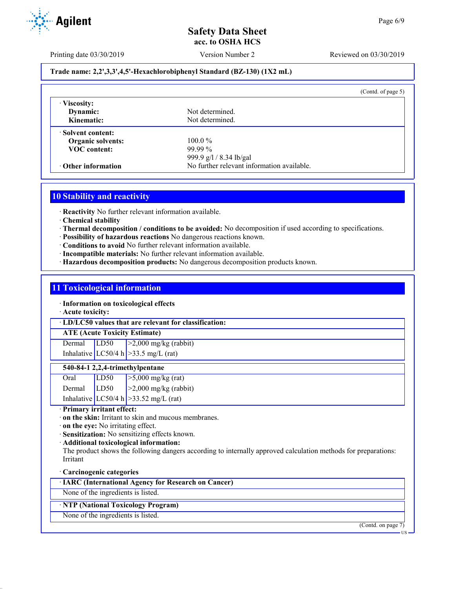

Printing date 03/30/2019 Version Number 2 Reviewed on 03/30/2019

### **Trade name: 2,2',3,3',4,5'-Hexachlorobiphenyl Standard (BZ-130) (1X2 mL)**

|                           | (Contd. of page $5$ )                      |  |
|---------------------------|--------------------------------------------|--|
| · Viscosity:<br>Dynamic:  | Not determined.                            |  |
| Kinematic:                | Not determined.                            |  |
| Solvent content:          |                                            |  |
| <b>Organic solvents:</b>  | $100.0\%$                                  |  |
| <b>VOC</b> content:       | $99.99\%$                                  |  |
|                           | 999.9 g/l / 8.34 lb/gal                    |  |
| $\cdot$ Other information | No further relevant information available. |  |

# **10 Stability and reactivity**

· **Reactivity** No further relevant information available.

- · **Chemical stability**
- · **Thermal decomposition / conditions to be avoided:** No decomposition if used according to specifications.
- · **Possibility of hazardous reactions** No dangerous reactions known.
- · **Conditions to avoid** No further relevant information available.
- · **Incompatible materials:** No further relevant information available.
- · **Hazardous decomposition products:** No dangerous decomposition products known.

### **11 Toxicological information**

· **Information on toxicological effects**

· **Acute toxicity:**

· **LD/LC50 values that are relevant for classification:**

# **ATE (Acute Toxicity Estimate)**

Dermal LD50 >2,000 mg/kg (rabbit) Inhalative  $LC50/4$  h  $>33.5$  mg/L (rat)

#### **540-84-1 2,2,4-trimethylpentane**

| Oral           | LD50 | $\ge$ 5,000 mg/kg (rat)                  |
|----------------|------|------------------------------------------|
| Dermal $ LD50$ |      | $ >2,000$ mg/kg (rabbit)                 |
|                |      | Inhalative LC50/4 h $>$ 33.52 mg/L (rat) |

· **Primary irritant effect:**

- · **on the skin:** Irritant to skin and mucous membranes.
- · **on the eye:** No irritating effect.
- · **Sensitization:** No sensitizing effects known.
- · **Additional toxicological information:**

The product shows the following dangers according to internally approved calculation methods for preparations: Irritant

#### · **Carcinogenic categories**

· **IARC (International Agency for Research on Cancer)**

None of the ingredients is listed.

## · **NTP (National Toxicology Program)**

None of the ingredients is listed.

(Contd. on page 7)

US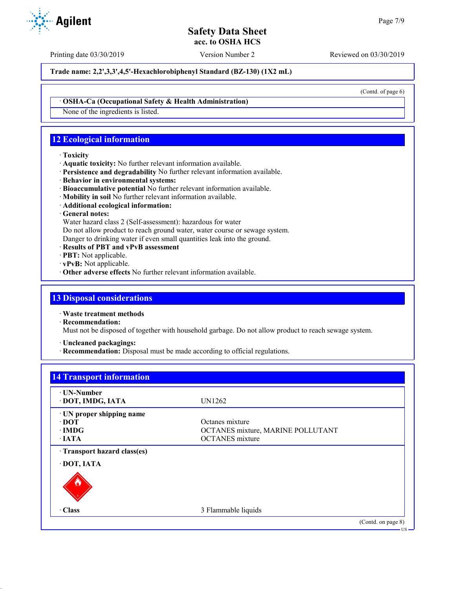Printing date 03/30/2019 Version Number 2 Reviewed on 03/30/2019

**Trade name: 2,2',3,3',4,5'-Hexachlorobiphenyl Standard (BZ-130) (1X2 mL)**

(Contd. of page 6)

#### · **OSHA-Ca (Occupational Safety & Health Administration)**

None of the ingredients is listed.

# **12 Ecological information**

#### · **Toxicity**

- · **Aquatic toxicity:** No further relevant information available.
- · **Persistence and degradability** No further relevant information available.
- · **Behavior in environmental systems:**
- · **Bioaccumulative potential** No further relevant information available.
- · **Mobility in soil** No further relevant information available.
- · **Additional ecological information:**

## · **General notes:**

Water hazard class 2 (Self-assessment): hazardous for water

Do not allow product to reach ground water, water course or sewage system.

Danger to drinking water if even small quantities leak into the ground.

- · **Results of PBT and vPvB assessment**
- · **PBT:** Not applicable.
- · **vPvB:** Not applicable.
- · **Other adverse effects** No further relevant information available.

## **13 Disposal considerations**

· **Waste treatment methods**

· **Recommendation:**

Must not be disposed of together with household garbage. Do not allow product to reach sewage system.

· **Uncleaned packagings:**

· **Recommendation:** Disposal must be made according to official regulations.

| ⋅ UN-Number                |                                   |  |
|----------------------------|-----------------------------------|--|
| · DOT, IMDG, IATA          | UN1262                            |  |
| · UN proper shipping name  |                                   |  |
| $\cdot$ DOT                | Octanes mixture                   |  |
| $\cdot$ IMDG               | OCTANES mixture, MARINE POLLUTANT |  |
| $\cdot$ IATA               | <b>OCTANES</b> mixture            |  |
| Transport hazard class(es) |                                   |  |
| · DOT, IATA                |                                   |  |
|                            |                                   |  |
| · Class                    | 3 Flammable liquids               |  |

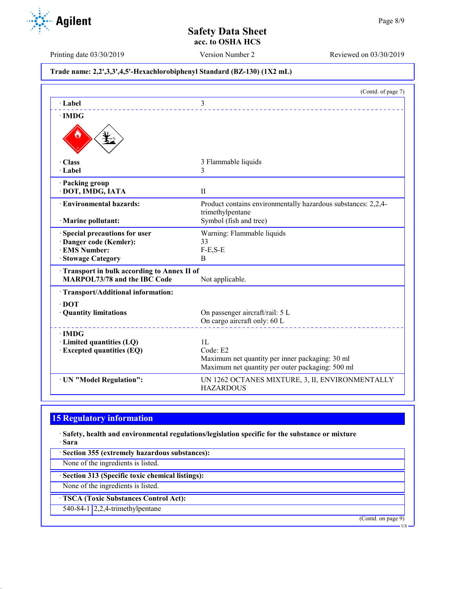**Agilent** 

#### Printing date 03/30/2019 Version Number 2 Reviewed on 03/30/2019

# **Trade name: 2,2',3,3',4,5'-Hexachlorobiphenyl Standard (BZ-130) (1X2 mL)**

|                                            | (Contd. of page 7)                                                                |
|--------------------------------------------|-----------------------------------------------------------------------------------|
| $\cdot$ Label                              | 3                                                                                 |
| $\cdot$ IMDG                               |                                                                                   |
|                                            |                                                                                   |
| · Class                                    | 3 Flammable liquids                                                               |
| · Label                                    | 3                                                                                 |
| · Packing group                            |                                                                                   |
| · DOT, IMDG, IATA                          | $\mathbf{I}$                                                                      |
| · Environmental hazards:                   | Product contains environmentally hazardous substances: 2,2,4-<br>trimethylpentane |
| · Marine pollutant:                        | Symbol (fish and tree)                                                            |
| Special precautions for user               | Warning: Flammable liquids                                                        |
| Danger code (Kemler):                      | 33                                                                                |
| · EMS Number:                              | $F-E,S-E$                                                                         |
| · Stowage Category                         | B                                                                                 |
| Transport in bulk according to Annex II of |                                                                                   |
| <b>MARPOL73/78 and the IBC Code</b>        | Not applicable.                                                                   |
| · Transport/Additional information:        |                                                                                   |
| $\cdot$ DOT                                |                                                                                   |
| · Quantity limitations                     | On passenger aircraft/rail: 5 L                                                   |
|                                            | On cargo aircraft only: 60 L                                                      |
| $\cdot$ IMDG                               |                                                                                   |
| · Limited quantities (LQ)                  | 1L                                                                                |
| · Excepted quantities (EQ)                 | Code: E2                                                                          |
|                                            | Maximum net quantity per inner packaging: 30 ml                                   |
|                                            | Maximum net quantity per outer packaging: 500 ml                                  |
| · UN "Model Regulation":                   | UN 1262 OCTANES MIXTURE, 3, II, ENVIRONMENTALLY<br><b>HAZARDOUS</b>               |

# **15 Regulatory information**

· **Safety, health and environmental regulations/legislation specific for the substance or mixture** · **Sara**

· **Section 355 (extremely hazardous substances):**

None of the ingredients is listed.

· **Section 313 (Specific toxic chemical listings):**

None of the ingredients is listed.

· **TSCA (Toxic Substances Control Act):**

540-84-1 2,2,4-trimethylpentane

(Contd. on page 9)

US